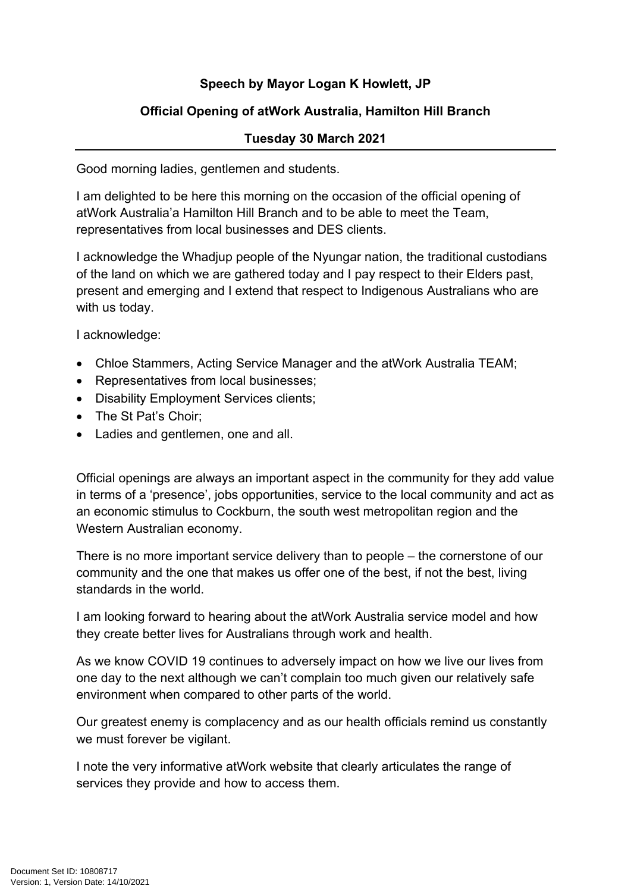## **Speech by Mayor Logan K Howlett, JP**

## **Official Opening of atWork Australia, Hamilton Hill Branch**

## **Tuesday 30 March 2021**

Good morning ladies, gentlemen and students.

I am delighted to be here this morning on the occasion of the official opening of atWork Australia'a Hamilton Hill Branch and to be able to meet the Team, representatives from local businesses and DES clients.

I acknowledge the Whadjup people of the Nyungar nation, the traditional custodians of the land on which we are gathered today and I pay respect to their Elders past, present and emerging and I extend that respect to Indigenous Australians who are with us today.

I acknowledge:

- Chloe Stammers, Acting Service Manager and the atWork Australia TEAM;
- Representatives from local businesses;
- Disability Employment Services clients;
- The St Pat's Choir;
- Ladies and gentlemen, one and all.

Official openings are always an important aspect in the community for they add value in terms of a 'presence', jobs opportunities, service to the local community and act as an economic stimulus to Cockburn, the south west metropolitan region and the Western Australian economy.

There is no more important service delivery than to people – the cornerstone of our community and the one that makes us offer one of the best, if not the best, living standards in the world.

I am looking forward to hearing about the atWork Australia service model and how they create better lives for Australians through work and health.

As we know COVID 19 continues to adversely impact on how we live our lives from one day to the next although we can't complain too much given our relatively safe environment when compared to other parts of the world.

Our greatest enemy is complacency and as our health officials remind us constantly we must forever be vigilant.

I note the very informative atWork website that clearly articulates the range of services they provide and how to access them.